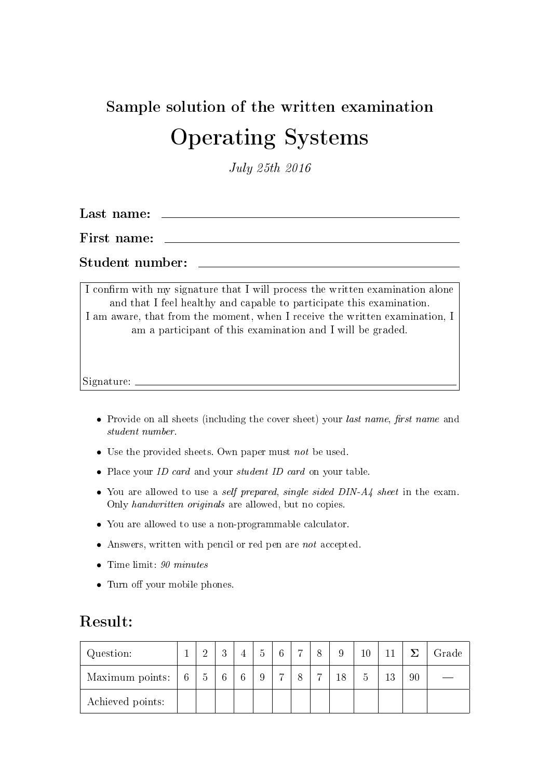# Sample solution of the written examination Operating Systems

July 25th 2016

Last name:

First name:

Student number:

I confirm with my signature that I will process the written examination alone and that I feel healthy and capable to participate this examination. I am aware, that from the moment, when I receive the written examination, I am a participant of this examination and I will be graded.

Signature:

- Provide on all sheets (including the cover sheet) your *last name*, *first name* and student number.
- Use the provided sheets. Own paper must not be used.
- Place your *ID card* and your *student ID card* on your table.
- You are allowed to use a *self prepared, single sided DIN-A4 sheet* in the exam. Only handwritten originals are allowed, but no copies.
- You are allowed to use a non-programmable calculator.
- Answers, written with pencil or red pen are not accepted.
- Time limit:  $90 \text{ minutes}$
- Turn off your mobile phones.

#### Result:

| Question:        |   |                | റ<br>ιJ         |   | 6 | $\overline{ }$ | $\circ$        | 9  | $10\,$ |    |    | Grade |
|------------------|---|----------------|-----------------|---|---|----------------|----------------|----|--------|----|----|-------|
| Maximum points:  | 6 | $\overline{5}$ | $6\phantom{.}6$ | 6 | − |                | $\overline{ }$ | 18 |        | 13 | 90 |       |
| Achieved points: |   |                |                 |   |   |                |                |    |        |    |    |       |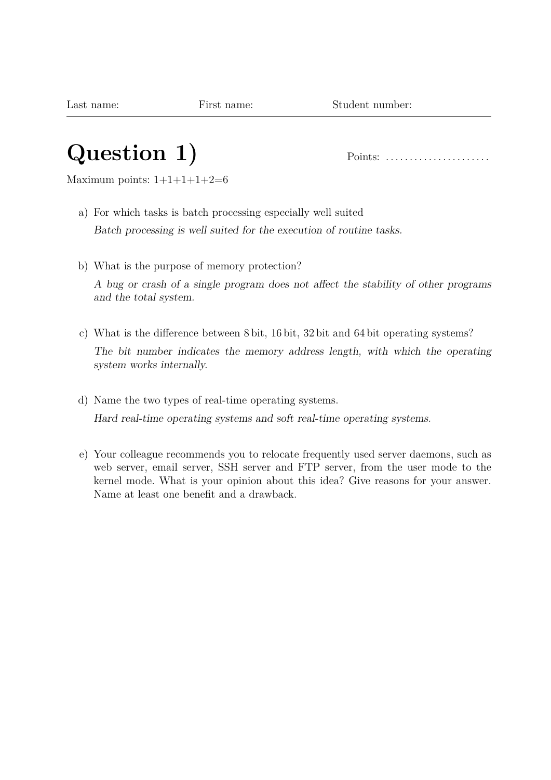## **Question 1)** Points: . . . . . . . . . . . . . . . . . . . . . .

Maximum points:  $1+1+1+1+2=6$ 

- a) For which tasks is batch processing especially well suited Batch processing is well suited for the execution of routine tasks.
- b) What is the purpose of memory protection? A bug or crash of a single program does not affect the stability of other programs and the total system.
- c) What is the difference between 8 bit, 16 bit, 32 bit and 64 bit operating systems? The bit number indicates the memory address length, with which the operating system works internally.
- d) Name the two types of real-time operating systems. Hard real-time operating systems and soft real-time operating systems.
- e) Your colleague recommends you to relocate frequently used server daemons, such as web server, email server, SSH server and FTP server, from the user mode to the kernel mode. What is your opinion about this idea? Give reasons for your answer. Name at least one benefit and a drawback.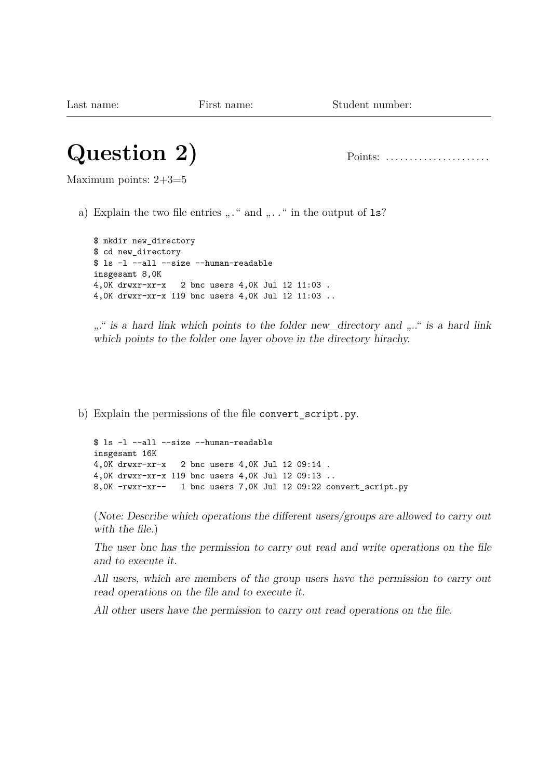#### **Question 2)** Points: . . . . . . . . . . . . . . . . . . . . . .

Maximum points: 2+3=5

a) Explain the two file entries  $, . . . .$  and  $, . . .$  in the output of 1s?

```
$ mkdir new_directory
$ cd new_directory
$ ls -l --all --size --human-readable
insgesamt 8,0K
4,0K drwxr-xr-x 2 bnc users 4,0K Jul 12 11:03 .
4,0K drwxr-xr-x 119 bnc users 4,0K Jul 12 11:03 ..
```
..." is a hard link which points to the folder new\_directory and ...." is a hard link which points to the folder one layer obove in the directory hirachy.

b) Explain the permissions of the file convert\_script.py.

```
$ ls -l --all --size --human-readable
insgesamt 16K
4,0K drwxr-xr-x 2 bnc users 4,0K Jul 12 09:14 .
4,0K drwxr-xr-x 119 bnc users 4,0K Jul 12 09:13 ..
8,0K -rwxr-xr-- 1 bnc users 7,0K Jul 12 09:22 convert_script.py
```
(Note: Describe which operations the different users/groups are allowed to carry out with the file.)

The user bnc has the permission to carry out read and write operations on the file and to execute it.

All users, which are members of the group users have the permission to carry out read operations on the file and to execute it.

All other users have the permission to carry out read operations on the file.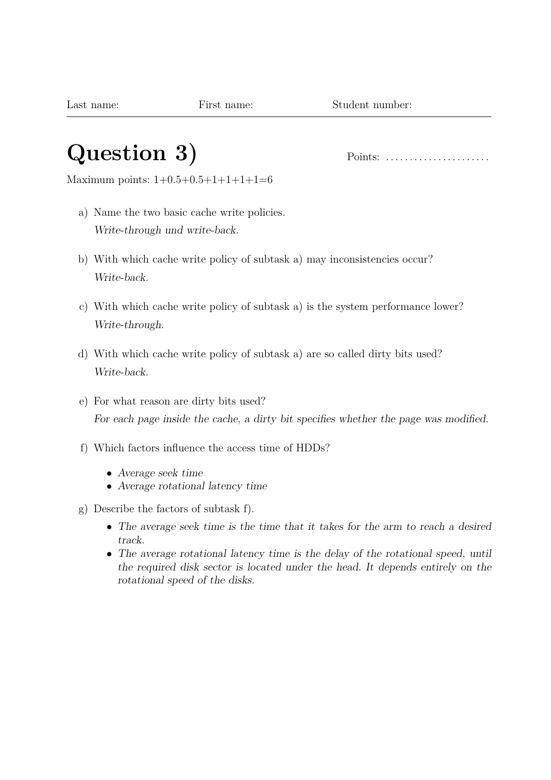#### **Question 3)** Points: . . . . . . . . . . . . . . . . . . . . . .

Maximum points: 1+0.5+0.5+1+1+1+1=6

- a) Name the two basic cache write policies. Write-through und write-back.
- b) With which cache write policy of subtask a) may inconsistencies occur? Write-back.
- c) With which cache write policy of subtask a) is the system performance lower? Write-through.
- d) With which cache write policy of subtask a) are so called dirty bits used? Write-back.
- e) For what reason are dirty bits used? For each page inside the cache, a dirty bit specifies whether the page was modified.
- f) Which factors influence the access time of HDDs?
	- Average seek time
	- Average rotational latency time
- g) Describe the factors of subtask f).
	- The average seek time is the time that it takes for the arm to reach a desired track.
	- The average rotational latency time is the delay of the rotational speed, until the required disk sector is located under the head. It depends entirely on the rotational speed of the disks.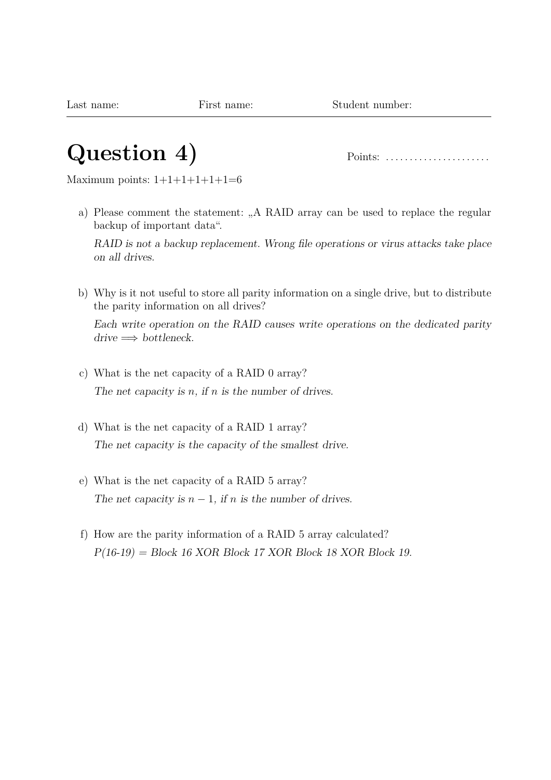#### **Question 4)** Points: . . . . . . . . . . . . . . . . . . . . . .

Maximum points:  $1+1+1+1+1+1=6$ 

a) Please comment the statement: "A RAID array can be used to replace the regular backup of important data".

RAID is not a backup replacement. Wrong file operations or virus attacks take place on all drives.

b) Why is it not useful to store all parity information on a single drive, but to distribute the parity information on all drives?

Each write operation on the RAID causes write operations on the dedicated parity  $drive \Longrightarrow$  bottleneck.

- c) What is the net capacity of a RAID 0 array? The net capacity is *n*, if *n* is the number of drives.
- d) What is the net capacity of a RAID 1 array? The net capacity is the capacity of the smallest drive.
- e) What is the net capacity of a RAID 5 array? The net capacity is  $n-1$ , if *n* is the number of drives.
- f) How are the parity information of a RAID 5 array calculated?  $P(16-19) = Block 16 XOR Block 17 XOR Block 18 XOR Block 19.$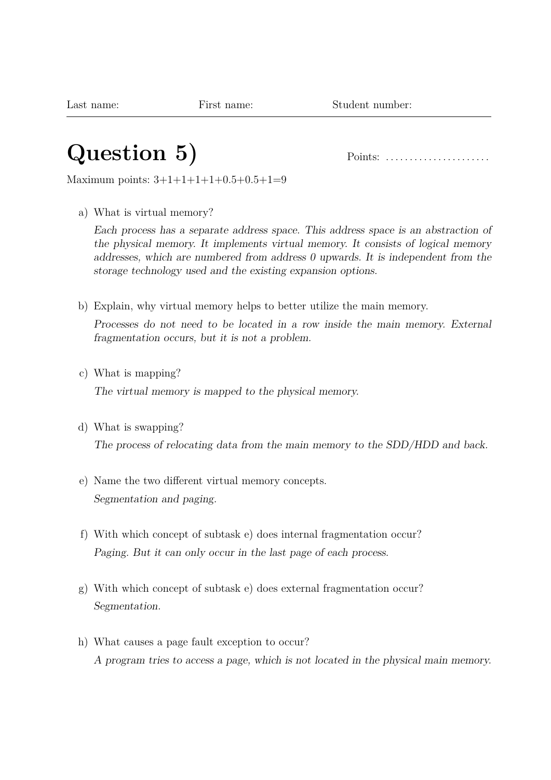### **Question 5)** Points: . . . . . . . . . . . . . . . . . . . . . .

Maximum points: 3+1+1+1+1+0.5+0.5+1=9

a) What is virtual memory?

Each process has a separate address space. This address space is an abstraction of the physical memory. It implements virtual memory. It consists of logical memory addresses, which are numbered from address 0 upwards. It is independent from the storage technology used and the existing expansion options.

b) Explain, why virtual memory helps to better utilize the main memory.

Processes do not need to be located in a row inside the main memory. External fragmentation occurs, but it is not a problem.

c) What is mapping?

The virtual memory is mapped to the physical memory.

d) What is swapping?

The process of relocating data from the main memory to the SDD/HDD and back.

- e) Name the two different virtual memory concepts. Segmentation and paging.
- f) With which concept of subtask e) does internal fragmentation occur? Paging. But it can only occur in the last page of each process.
- g) With which concept of subtask e) does external fragmentation occur? Segmentation.
- h) What causes a page fault exception to occur? A program tries to access a page, which is not located in the physical main memory.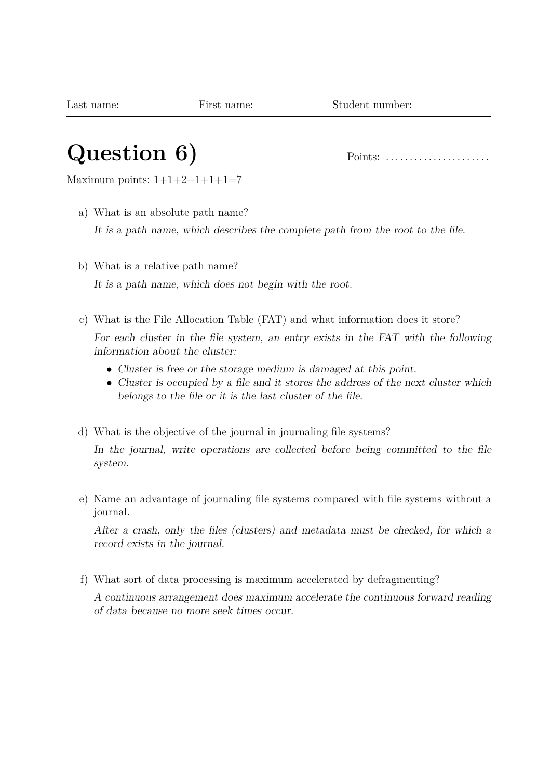### **Question 6)** Points: . . . . . . . . . . . . . . . . . . . . . .

Maximum points:  $1+1+2+1+1+1=7$ 

- a) What is an absolute path name? It is a path name, which describes the complete path from the root to the file.
- b) What is a relative path name? It is a path name, which does not begin with the root.
- c) What is the File Allocation Table (FAT) and what information does it store? For each cluster in the file system, an entry exists in the FAT with the following information about the cluster:
	- Cluster is free or the storage medium is damaged at this point.
	- Cluster is occupied by a file and it stores the address of the next cluster which belongs to the file or it is the last cluster of the file.
- d) What is the objective of the journal in journaling file systems?

In the journal, write operations are collected before being committed to the file system.

e) Name an advantage of journaling file systems compared with file systems without a journal.

After a crash, only the files (clusters) and metadata must be checked, for which a record exists in the journal.

f) What sort of data processing is maximum accelerated by defragmenting?

A continuous arrangement does maximum accelerate the continuous forward reading of data because no more seek times occur.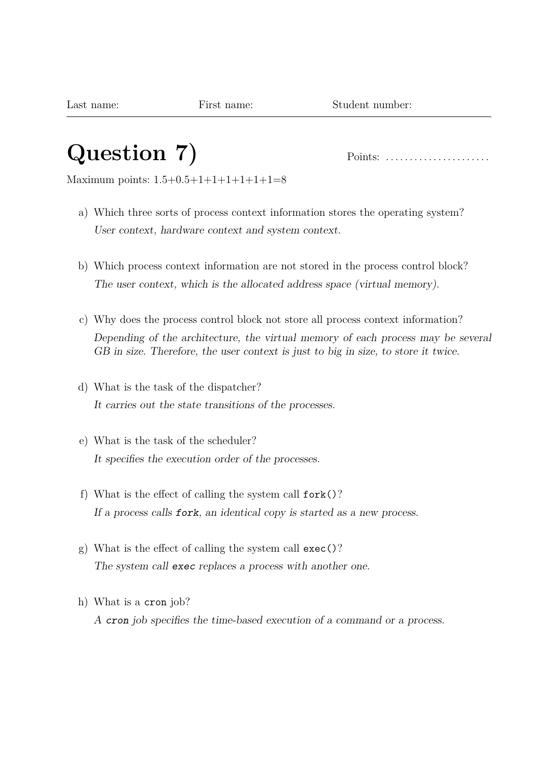# **Question 7)** Points: . . . . . . . . . . . . . . . . . . . . . .

Maximum points: 1.5+0.5+1+1+1+1+1+1=8

- a) Which three sorts of process context information stores the operating system? User context, hardware context and system context.
- b) Which process context information are not stored in the process control block? The user context, which is the allocated address space (virtual memory).
- c) Why does the process control block not store all process context information? Depending of the architecture, the virtual memory of each process may be several GB in size. Therefore, the user context is just to big in size, to store it twice.
- d) What is the task of the dispatcher? It carries out the state transitions of the processes.
- e) What is the task of the scheduler? It specifies the execution order of the processes.
- f) What is the effect of calling the system call fork()? If a process calls fork, an identical copy is started as a new process.
- g) What is the effect of calling the system call exec()? The system call exec replaces a process with another one.
- h) What is a cron job? A cron job specifies the time-based execution of a command or a process.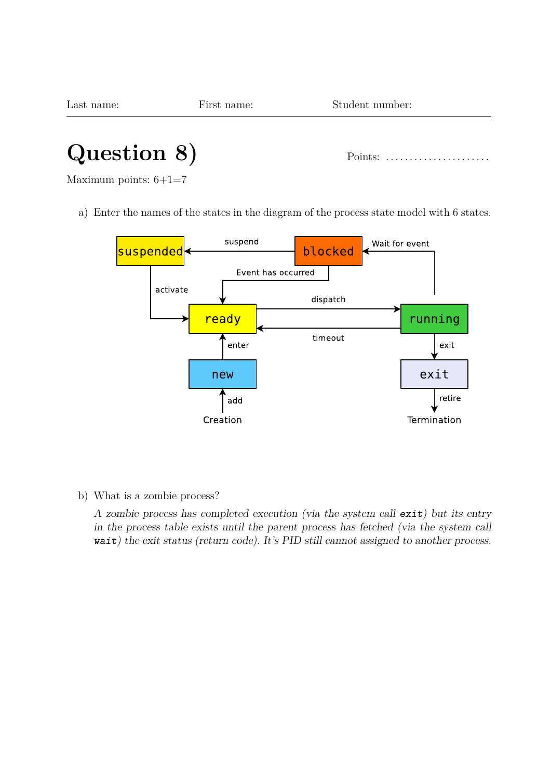| Last name:  | First name: | Student number:                                    |  |
|-------------|-------------|----------------------------------------------------|--|
|             |             |                                                    |  |
| Question 8) |             | Points: $\dots\dots\dots\dots\dots\dots\dots\dots$ |  |

Maximum points: 6+1=7

a) Enter the names of the states in the diagram of the process state model with 6 states.



b) What is a zombie process?

A zombie process has completed execution (via the system call exit) but its entry in the process table exists until the parent process has fetched (via the system call wait) the exit status (return code). It's PID still cannot assigned to another process.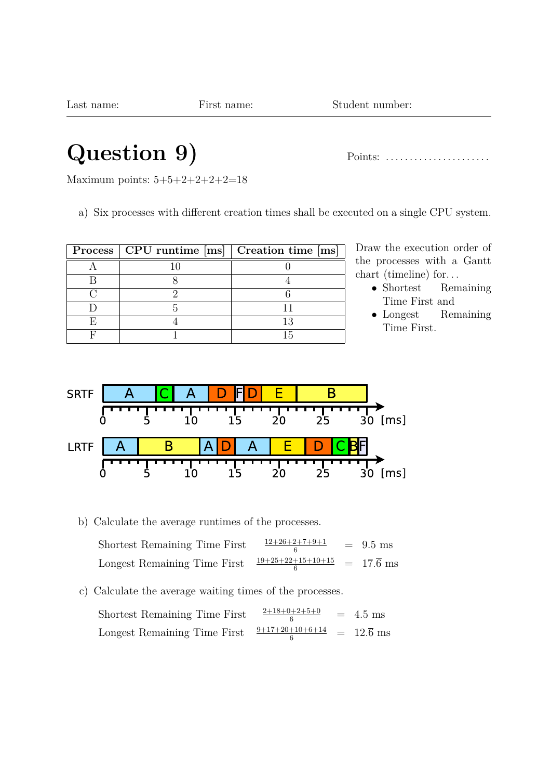Last name: First name: Student number:

### **Question 9)** Points: . . . . . . . . . . . . . . . . . . . . . .

Maximum points: 5+5+2+2+2+2=18

a) Six processes with different creation times shall be executed on a single CPU system.

|  | Process   CPU runtime [ms]   Creation time [ms] |
|--|-------------------------------------------------|
|  |                                                 |
|  |                                                 |
|  |                                                 |
|  |                                                 |
|  |                                                 |
|  |                                                 |

Draw the execution order of the processes with a Gantt chart (timeline) for. . .

- Shortest Remaining Time First and
- Longest Remaining Time First.



b) Calculate the average runtimes of the processes.

| Shortest Remaining Time First | $12+26+2+7+9+1$     | $=$ 9.5 ms             |
|-------------------------------|---------------------|------------------------|
| Longest Remaining Time First  | $19+25+22+15+10+15$ | $= 17.\overline{6}$ ms |

c) Calculate the average waiting times of the processes.

| Shortest Remaining Time First | $2+18+0+2+5+0$                        | $= 4.5$ ms |
|-------------------------------|---------------------------------------|------------|
| Longest Remaining Time First  | $\frac{9+17+20+10+6+14}{1}$ = 12.6 ms |            |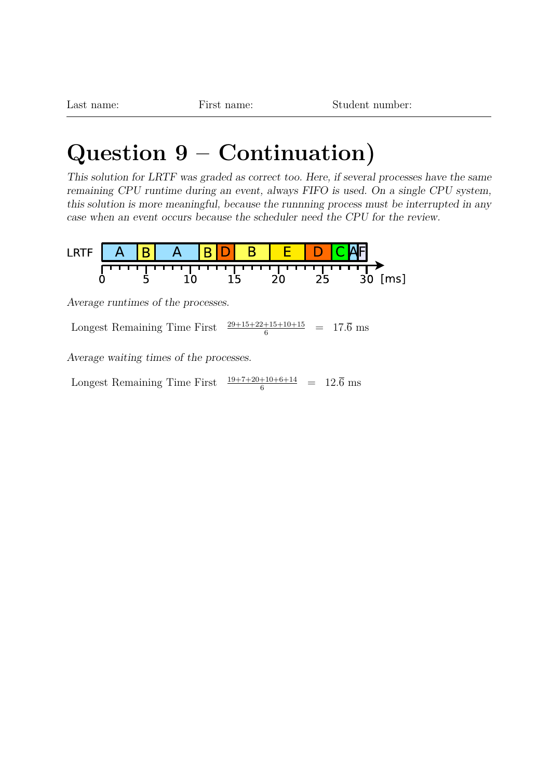### **Question 9 – Continuation)**

This solution for LRTF was graded as correct too. Here, if several processes have the same remaining CPU runtime during an event, always FIFO is used. On a single CPU system, this solution is more meaningful, because the runnning process must be interrupted in any case when an event occurs because the scheduler need the CPU for the review.



Longest Remaining Time First  $\frac{29+15+22+15+10+15}{6} = 17.\overline{6}$  ms

Average waiting times of the processes.

Longest Remaining Time First  $\frac{19+7+20+10+6+14}{6} = 12.\overline{6}$  ms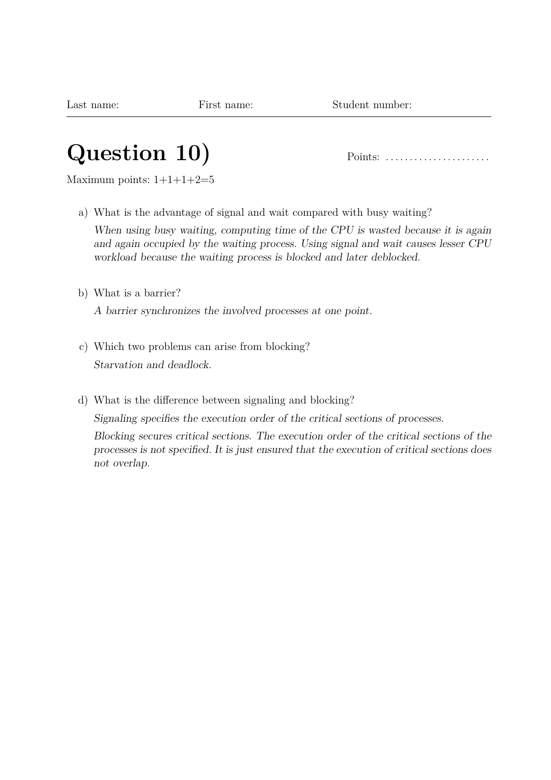# **Question 10)** Points: . . . . . . . . . . . . . . . . . . . . . .

Maximum points:  $1+1+1+2=5$ 

a) What is the advantage of signal and wait compared with busy waiting?

When using busy waiting, computing time of the CPU is wasted because it is again and again occupied by the waiting process. Using signal and wait causes lesser CPU workload because the waiting process is blocked and later deblocked.

b) What is a barrier?

A barrier synchronizes the involved processes at one point.

- c) Which two problems can arise from blocking? Starvation and deadlock.
- d) What is the difference between signaling and blocking?

Signaling specifies the execution order of the critical sections of processes.

Blocking secures critical sections. The execution order of the critical sections of the processes is not specified. It is just ensured that the execution of critical sections does not overlap.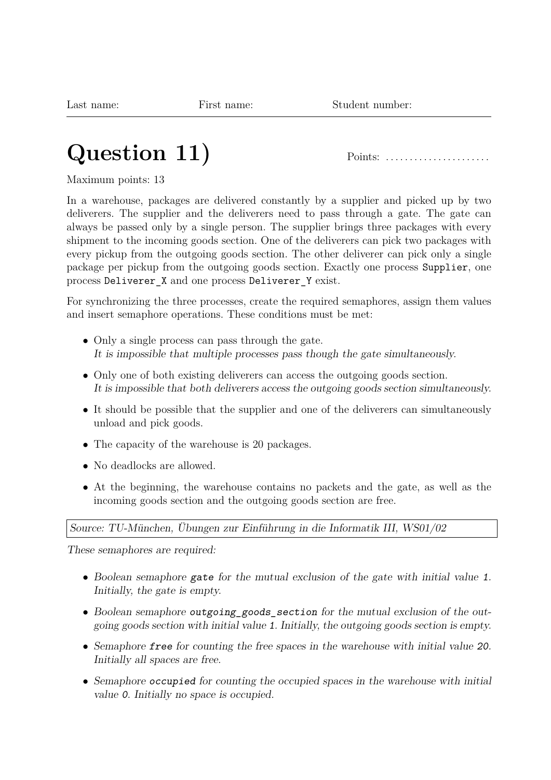# **Question 11)** Points: . . . . . . . . . . . . . . . . . . . . . .

Maximum points: 13

In a warehouse, packages are delivered constantly by a supplier and picked up by two deliverers. The supplier and the deliverers need to pass through a gate. The gate can always be passed only by a single person. The supplier brings three packages with every shipment to the incoming goods section. One of the deliverers can pick two packages with every pickup from the outgoing goods section. The other deliverer can pick only a single package per pickup from the outgoing goods section. Exactly one process Supplier, one process Deliverer X and one process Deliverer Y exist.

For synchronizing the three processes, create the required semaphores, assign them values and insert semaphore operations. These conditions must be met:

- Only a single process can pass through the gate. It is impossible that multiple processes pass though the gate simultaneously.
- Only one of both existing deliverers can access the outgoing goods section. It is impossible that both deliverers access the outgoing goods section simultaneously.
- It should be possible that the supplier and one of the deliverers can simultaneously unload and pick goods.
- The capacity of the warehouse is 20 packages.
- No deadlocks are allowed.
- At the beginning, the warehouse contains no packets and the gate, as well as the incoming goods section and the outgoing goods section are free.

Source: TU-München, Übungen zur Einführung in die Informatik III, WS01/02

These semaphores are required:

- Boolean semaphore gate for the mutual exclusion of the gate with initial value 1. Initially, the gate is empty.
- Boolean semaphore outgoing\_goods\_section for the mutual exclusion of the outgoing goods section with initial value 1. Initially, the outgoing goods section is empty.
- Semaphore free for counting the free spaces in the warehouse with initial value 20. Initially all spaces are free.
- Semaphore occupied for counting the occupied spaces in the warehouse with initial value 0. Initially no space is occupied.